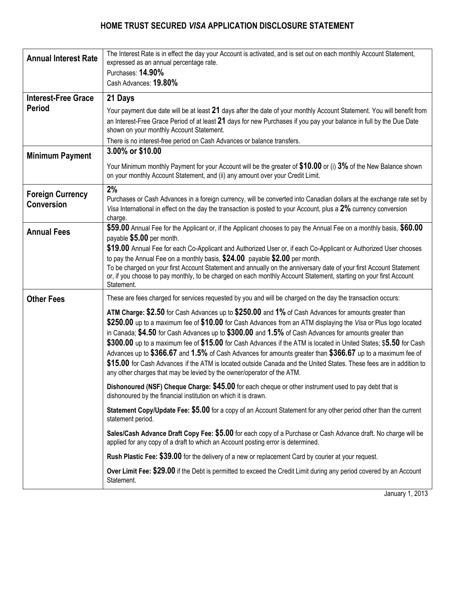

## **Secured** *Visa* **Card Application** \*

## **TELL US ABOUT YOURSELF**

| MR.     MRS.     MISS     MS.     DR.     OTHER                                                                                                                                                                                                                                                                                                                                                                                                                                                                                                                                                                                                                                                                                                                                                                                                                                                                                                                                                                                                                                                                                                                                                                                                                                                                                                                                                                                                                                                                                                                                                                                                                                                                                                                                                                                                                                                                                                                                                                                                                                                                        |                 |                                                                                         |             |                                                                                                                                                                         |  |                           |  |                                                                                                                                                                                                                                |            |
|------------------------------------------------------------------------------------------------------------------------------------------------------------------------------------------------------------------------------------------------------------------------------------------------------------------------------------------------------------------------------------------------------------------------------------------------------------------------------------------------------------------------------------------------------------------------------------------------------------------------------------------------------------------------------------------------------------------------------------------------------------------------------------------------------------------------------------------------------------------------------------------------------------------------------------------------------------------------------------------------------------------------------------------------------------------------------------------------------------------------------------------------------------------------------------------------------------------------------------------------------------------------------------------------------------------------------------------------------------------------------------------------------------------------------------------------------------------------------------------------------------------------------------------------------------------------------------------------------------------------------------------------------------------------------------------------------------------------------------------------------------------------------------------------------------------------------------------------------------------------------------------------------------------------------------------------------------------------------------------------------------------------------------------------------------------------------------------------------------------------|-----------------|-----------------------------------------------------------------------------------------|-------------|-------------------------------------------------------------------------------------------------------------------------------------------------------------------------|--|---------------------------|--|--------------------------------------------------------------------------------------------------------------------------------------------------------------------------------------------------------------------------------|------------|
| <b>FIRST NAME</b><br><b>INITIAL</b><br><b>LAST NAME</b>                                                                                                                                                                                                                                                                                                                                                                                                                                                                                                                                                                                                                                                                                                                                                                                                                                                                                                                                                                                                                                                                                                                                                                                                                                                                                                                                                                                                                                                                                                                                                                                                                                                                                                                                                                                                                                                                                                                                                                                                                                                                |                 |                                                                                         |             | MOTHER'S MAIDEN NAME                                                                                                                                                    |  |                           |  |                                                                                                                                                                                                                                |            |
| <b>HOME ADDRESS</b>                                                                                                                                                                                                                                                                                                                                                                                                                                                                                                                                                                                                                                                                                                                                                                                                                                                                                                                                                                                                                                                                                                                                                                                                                                                                                                                                                                                                                                                                                                                                                                                                                                                                                                                                                                                                                                                                                                                                                                                                                                                                                                    |                 | APT. NO.                                                                                | <b>CITY</b> |                                                                                                                                                                         |  | <b>PROVINCE</b>           |  | POSTAL CODE                                                                                                                                                                                                                    | # OF YEARS |
|                                                                                                                                                                                                                                                                                                                                                                                                                                                                                                                                                                                                                                                                                                                                                                                                                                                                                                                                                                                                                                                                                                                                                                                                                                                                                                                                                                                                                                                                                                                                                                                                                                                                                                                                                                                                                                                                                                                                                                                                                                                                                                                        |                 |                                                                                         |             |                                                                                                                                                                         |  |                           |  |                                                                                                                                                                                                                                |            |
| PREVIOUS ADDRESS IF LESS THAN 2 YEARS                                                                                                                                                                                                                                                                                                                                                                                                                                                                                                                                                                                                                                                                                                                                                                                                                                                                                                                                                                                                                                                                                                                                                                                                                                                                                                                                                                                                                                                                                                                                                                                                                                                                                                                                                                                                                                                                                                                                                                                                                                                                                  |                 | APT. NO.                                                                                | <b>CITY</b> |                                                                                                                                                                         |  | <b>PROVINCE</b>           |  | POSTAL CODE                                                                                                                                                                                                                    | # OF YEARS |
| SOCIAL INSURANCE NUMBER (Optional)                                                                                                                                                                                                                                                                                                                                                                                                                                                                                                                                                                                                                                                                                                                                                                                                                                                                                                                                                                                                                                                                                                                                                                                                                                                                                                                                                                                                                                                                                                                                                                                                                                                                                                                                                                                                                                                                                                                                                                                                                                                                                     | DATE OF BIRTH   | HOME TELEPHONE                                                                          |             | MOBILE TELEPHONE                                                                                                                                                        |  | <b>EMAIL ADDRESS</b>      |  |                                                                                                                                                                                                                                |            |
| PRIMARY GOVERNMENT ISSUED PHOTO ID** (MANDATORY)                                                                                                                                                                                                                                                                                                                                                                                                                                                                                                                                                                                                                                                                                                                                                                                                                                                                                                                                                                                                                                                                                                                                                                                                                                                                                                                                                                                                                                                                                                                                                                                                                                                                                                                                                                                                                                                                                                                                                                                                                                                                       |                 |                                                                                         |             |                                                                                                                                                                         |  |                           |  |                                                                                                                                                                                                                                |            |
| TYPE OF ID                                                                                                                                                                                                                                                                                                                                                                                                                                                                                                                                                                                                                                                                                                                                                                                                                                                                                                                                                                                                                                                                                                                                                                                                                                                                                                                                                                                                                                                                                                                                                                                                                                                                                                                                                                                                                                                                                                                                                                                                                                                                                                             | ID#             |                                                                                         |             | PLACE OF ISSUE                                                                                                                                                          |  |                           |  | <b>EXPIRY DATE</b>                                                                                                                                                                                                             |            |
| SECONDARY ID (MANDATORY)                                                                                                                                                                                                                                                                                                                                                                                                                                                                                                                                                                                                                                                                                                                                                                                                                                                                                                                                                                                                                                                                                                                                                                                                                                                                                                                                                                                                                                                                                                                                                                                                                                                                                                                                                                                                                                                                                                                                                                                                                                                                                               |                 |                                                                                         |             |                                                                                                                                                                         |  |                           |  |                                                                                                                                                                                                                                |            |
| TYPE OF ID                                                                                                                                                                                                                                                                                                                                                                                                                                                                                                                                                                                                                                                                                                                                                                                                                                                                                                                                                                                                                                                                                                                                                                                                                                                                                                                                                                                                                                                                                                                                                                                                                                                                                                                                                                                                                                                                                                                                                                                                                                                                                                             |                 | <b>EXPIRY DATE</b><br>PLACE OF ISSUE<br>MONTHLY INCOME (BEFORE TAX)<br>SOURCE OF INCOME |             |                                                                                                                                                                         |  |                           |  |                                                                                                                                                                                                                                |            |
| SELF-EMPLOYED   FULL TIME   PART TIME                                                                                                                                                                                                                                                                                                                                                                                                                                                                                                                                                                                                                                                                                                                                                                                                                                                                                                                                                                                                                                                                                                                                                                                                                                                                                                                                                                                                                                                                                                                                                                                                                                                                                                                                                                                                                                                                                                                                                                                                                                                                                  | <b>SEASONAL</b> | <b>STUDENT</b>                                                                          | RETIRED     |                                                                                                                                                                         |  |                           |  |                                                                                                                                                                                                                                |            |
| <b>CURRENT EMPLOYER NAME</b>                                                                                                                                                                                                                                                                                                                                                                                                                                                                                                                                                                                                                                                                                                                                                                                                                                                                                                                                                                                                                                                                                                                                                                                                                                                                                                                                                                                                                                                                                                                                                                                                                                                                                                                                                                                                                                                                                                                                                                                                                                                                                           |                 | <b>OCCUPATION</b>                                                                       |             |                                                                                                                                                                         |  |                           |  | <b>BUSINESS TELEPHONE</b>                                                                                                                                                                                                      | # OF YEARS |
| <b>EMPLOYER'S ADDRESS</b>                                                                                                                                                                                                                                                                                                                                                                                                                                                                                                                                                                                                                                                                                                                                                                                                                                                                                                                                                                                                                                                                                                                                                                                                                                                                                                                                                                                                                                                                                                                                                                                                                                                                                                                                                                                                                                                                                                                                                                                                                                                                                              |                 | SUITE NO.                                                                               | <b>CITY</b> |                                                                                                                                                                         |  | <b>PROVINCE</b>           |  | POSTAL CODE                                                                                                                                                                                                                    |            |
|                                                                                                                                                                                                                                                                                                                                                                                                                                                                                                                                                                                                                                                                                                                                                                                                                                                                                                                                                                                                                                                                                                                                                                                                                                                                                                                                                                                                                                                                                                                                                                                                                                                                                                                                                                                                                                                                                                                                                                                                                                                                                                                        |                 |                                                                                         |             |                                                                                                                                                                         |  |                           |  |                                                                                                                                                                                                                                |            |
| ** Valid Photo IDs include a current Provincial Driver's License, Canadian Passport or Certificate of Canadian Citizenship.<br>Other acceptable IDs include a Birth Certificate or Social Insurance Card.                                                                                                                                                                                                                                                                                                                                                                                                                                                                                                                                                                                                                                                                                                                                                                                                                                                                                                                                                                                                                                                                                                                                                                                                                                                                                                                                                                                                                                                                                                                                                                                                                                                                                                                                                                                                                                                                                                              |                 |                                                                                         |             |                                                                                                                                                                         |  |                           |  |                                                                                                                                                                                                                                |            |
|                                                                                                                                                                                                                                                                                                                                                                                                                                                                                                                                                                                                                                                                                                                                                                                                                                                                                                                                                                                                                                                                                                                                                                                                                                                                                                                                                                                                                                                                                                                                                                                                                                                                                                                                                                                                                                                                                                                                                                                                                                                                                                                        |                 |                                                                                         |             | <b>CHOOSE YOUR FEE OPTION</b>                                                                                                                                           |  |                           |  |                                                                                                                                                                                                                                |            |
| SELECT ONE:                                                                                                                                                                                                                                                                                                                                                                                                                                                                                                                                                                                                                                                                                                                                                                                                                                                                                                                                                                                                                                                                                                                                                                                                                                                                                                                                                                                                                                                                                                                                                                                                                                                                                                                                                                                                                                                                                                                                                                                                                                                                                                            |                 | $\boxdot$ \$5.00 MONTHLY FEE                                                            |             | OR.                                                                                                                                                                     |  | $\Box$ \$59.00 ANNUAL FEE |  |                                                                                                                                                                                                                                |            |
| I certify the above information is correct and I consent to collection and use of credit and personal information as set out<br>below. Please read the terms and disclosures included with this application. By signing this application you agree to these<br>terms.<br><b>Personal Information:</b> You may collect credit, identity and financially related information about me during the course of my<br>relationship with you from credit bureau, other financial institutions, references and by contacting me ("Information"). You may also<br>disclose Information to credit bureau, financial institutions, Visa Canada and Visa International and their agents and to outside providers<br>of card services. You and those parties may use Information to identify me, understand my needs and eligibility for this application and<br>for card and other services and to recommend and market particular products and services.<br>Information collected will be kept in a separate customer file managed by Home Trust Company at its offices in Toronto, Ontario. I have<br>a right to access this Information. I may obtain your privacy code, ask you to correct Information, or tell you to stop using Information<br>for any of these purposes at any time by calling you toll free at 1-866-817-7719 or by sending a written request to 145 King Street<br>West, Suite 2300, ATTN Secured Visa Department, Toronto, Ontario, M5H 1J8.<br><b>Card Account:</b> Please open a Home Trust Visa Account in my name ("Account"), issue me card(s), and Personal Identification<br>Number(s). I will be bound by the Cardholder Agreement you will send me, as amended or replaced from time to time; use of any card<br>applied for will prove I have received and read it. I will ensure that all Co-Applicants and authorized users review the Cardholder<br>Agreement, other agreements and program terms you will send me. Credit will be extended upon approval of this application.<br>Please note that the Home Trust Secured Visa Card is not available to residents of the Province of Québec. |                 |                                                                                         |             |                                                                                                                                                                         |  |                           |  |                                                                                                                                                                                                                                |            |
| Initial _______                                                                                                                                                                                                                                                                                                                                                                                                                                                                                                                                                                                                                                                                                                                                                                                                                                                                                                                                                                                                                                                                                                                                                                                                                                                                                                                                                                                                                                                                                                                                                                                                                                                                                                                                                                                                                                                                                                                                                                                                                                                                                                        |                 |                                                                                         |             | I/We the undersigned hereby declare that I/We are not acting on behalf of a third party and<br>that the account referred to herein does not have any beneficial owners. |  |                           |  |                                                                                                                                                                                                                                |            |
| SECURITY DEPOSIT AMOUNT: \$ _____________________________(Minimum \$500; Maximum \$10,000)                                                                                                                                                                                                                                                                                                                                                                                                                                                                                                                                                                                                                                                                                                                                                                                                                                                                                                                                                                                                                                                                                                                                                                                                                                                                                                                                                                                                                                                                                                                                                                                                                                                                                                                                                                                                                                                                                                                                                                                                                             |                 |                                                                                         |             |                                                                                                                                                                         |  |                           |  |                                                                                                                                                                                                                                |            |
| Your credit limit is set at the amount of your Security Deposit. All funds must be made payable to "Home Trust Company".<br>WE WILL NOT ACCEPT CASH, WESTERN UNION OR POSTAL MONEY ORDERS. We accept PERSONAL or PERSONAL CERTIFIED CHEQUE,<br>MONEY ORDER, or BANK DRAFT from a Canadian Financial Institution.                                                                                                                                                                                                                                                                                                                                                                                                                                                                                                                                                                                                                                                                                                                                                                                                                                                                                                                                                                                                                                                                                                                                                                                                                                                                                                                                                                                                                                                                                                                                                                                                                                                                                                                                                                                                       |                 |                                                                                         |             |                                                                                                                                                                         |  |                           |  |                                                                                                                                                                                                                                |            |
| I apply for the Home Trust Visa Account and agree to the terms and disclosures included with this application.                                                                                                                                                                                                                                                                                                                                                                                                                                                                                                                                                                                                                                                                                                                                                                                                                                                                                                                                                                                                                                                                                                                                                                                                                                                                                                                                                                                                                                                                                                                                                                                                                                                                                                                                                                                                                                                                                                                                                                                                         |                 |                                                                                         |             |                                                                                                                                                                         |  |                           |  |                                                                                                                                                                                                                                |            |
| <u> 1989 - Johann John Stone, menydd y gweledd y gan y gan y gan y gan y gan y gan y gan y gan y gan y gan y gan</u><br>Signature                                                                                                                                                                                                                                                                                                                                                                                                                                                                                                                                                                                                                                                                                                                                                                                                                                                                                                                                                                                                                                                                                                                                                                                                                                                                                                                                                                                                                                                                                                                                                                                                                                                                                                                                                                                                                                                                                                                                                                                      |                 |                                                                                         |             |                                                                                                                                                                         |  |                           |  | Date and the contract of the contract of the contract of the contract of the contract of the contract of the contract of the contract of the contract of the contract of the contract of the contract of the contract of the c |            |
| <b>NOTE TO APPLICANTS:</b><br>. Bankruptcy: This product is not available to those who are currently bankrupt. Applicants recently discharged from bankruptcy must<br>include their "Certificate of Discharge" with their completed application.<br>. Judgments appearing on an applicant's credit bureau must be repaid or satisfied prior to applying for credit.<br>. Consumer Proposal: Applicants who have made a consumer proposal to creditors must provide a letter from their trustee stating that a<br>proposal has been filed, accepted by creditors, and is in good standing.                                                                                                                                                                                                                                                                                                                                                                                                                                                                                                                                                                                                                                                                                                                                                                                                                                                                                                                                                                                                                                                                                                                                                                                                                                                                                                                                                                                                                                                                                                                              |                 |                                                                                         |             |                                                                                                                                                                         |  |                           |  |                                                                                                                                                                                                                                |            |

**Mail your completed Application and your Security Deposit to: Home Trust Company, Attn: Secured** *Visa* **Department 145 King Street West, Suite 2300, Toronto ON M5H 1J8**